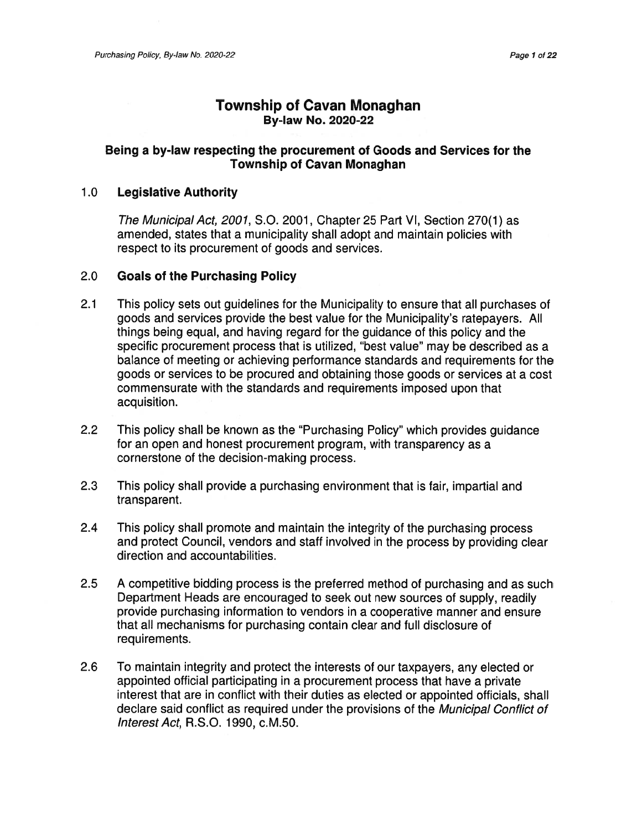### Township of Cavan Monaghan By-law No. 2020-22

### Being <sup>a</sup> by-law respecting the procuremen<sup>t</sup> of Goods and Services for the Township of Cavan Monaghan

#### 1 .0 Legislative Authority

The Municipal Act, 2001, S.O. 2001, Chapter 25 Part VI, Section 270(1) as amended, states that <sup>a</sup> municipality shall adopt and maintain policies with respec<sup>t</sup> to its procuremen<sup>t</sup> of goods and services.

#### 2.0 Goals of the Purchasing Policy

- 2.1 This policy sets out guidelines for the Municipality to ensure that all purchases of goods and services provide the best value for the Municipality's ratepayers. All things being equal, and having regard for the guidance of this policy and the specific procuremen<sup>t</sup> process that is utilized, "best value" may be described as <sup>a</sup> balance of meeting or achieving performance standards and requirements for the goods or services to be procured and obtaining those goods or services at <sup>a</sup> cost commensurate with the standards and requirements imposed upon that acquisition.
- 2.2 This policy shall be known as the "Purchasing Policy" which provides guidance for an open and honest procuremen<sup>t</sup> program, with transparency as <sup>a</sup> cornerstone of the decision-making process.
- 2.3 This policy shall provide <sup>a</sup> purchasing environment that is fair, impartial and transparent.
- 2.4 This policy shall promote and maintain the integrity of the purchasing process and protect Council, vendors and staff involved in the process by providing clear direction and accountabilities.
- 2.5 A competitive bidding process is the preferred method of purchasing and as such Department Heads are encouraged to seek out new sources of supply, readily provide purchasing information to vendors in <sup>a</sup> cooperative manner and ensure that all mechanisms for purchasing contain clear and full disclosure of requirements.
- 2.6 To maintain integrity and protect the interests of our taxpayers, any elected or appointed official participating in <sup>a</sup> procuremen<sup>t</sup> process that have <sup>a</sup> private interest that are in conflict with their duties as elected or appointed officials, shall declare said conflict as required under the provisions of the Municipal Conflict of InterestAct, R.S.O. 1990, c.M.50.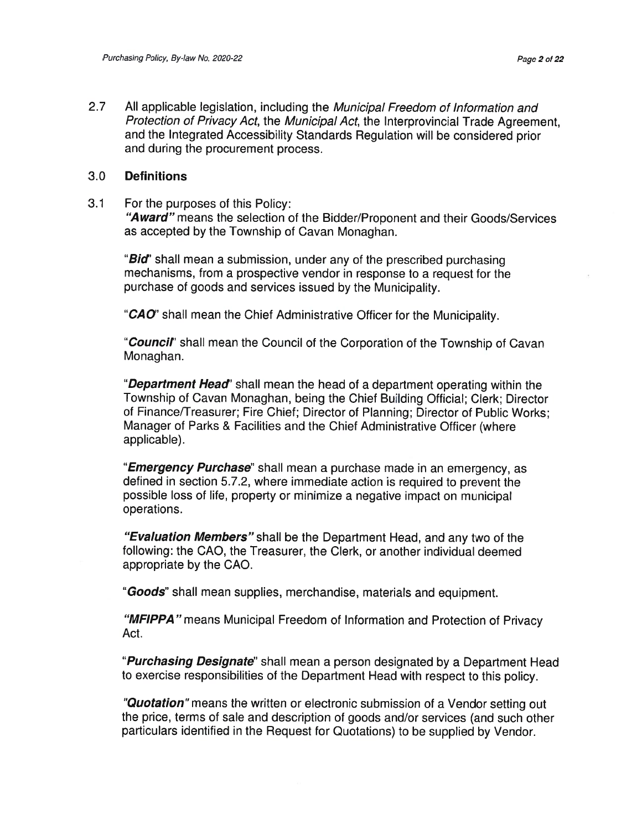2.77 All applicable legislation, including the Municipal Freedom of Information and Protection of Privacy Act, the Municipal Act, the Interprovincial Trade Agreement and the Integrated Accessibility Standards Regulation will be considered prior and during the procuremen<sup>t</sup> process.

#### 3.0**Definitions**

3.1For the purposes of this Policy:

> "Award" means the selection of the Bidder/Proponent and their Goods/Services as accepted by the Township of Cavan Monaghan.

"**Bid**" shall mean a submission, under any of the prescribed purchasing mechanisms, from <sup>a</sup> prospective vendor in response to <sup>a</sup> reques<sup>t</sup> for the purchase of goods and services issued by the Municipality.

"CAO" shall mean the Chief Administrative Officer for the Municipality

"Council" shall mean the Council of the Corporation of the Township of Cavar Monaghan.

"Department Head" shall mean the head of a department operating within the Township of Cavan Monaghan, being the Chief Building Official; Clerk; Director of Finance/Treasurer; Fire Chief; Director of Planning; Director of Public Works; Manager of Parks & Facilities and the Chief Administrative Officer (where applicable).

"**Emergency Purchase**" shall mean a purchase made in an emergency, as defined in section 5.7.2, where immediate action is required to preven<sup>t</sup> the possible loss of life, property or minimize <sup>a</sup> negative impact on municipal operations.

"Evaluation Members" shall be the Department Head, and any two of the following: the CAO, the Treasurer, the Clerk, or another individual deemed appropriate by the CAO.

"Goods" shall mean supplies, merchandise, materials and equipment

"MFIPPA" means Municipal Freedom of Information and Protection of Privacy Act.

"Purchasing Designate" shall mean a person designated by a Department Head to exercise responsibilities of the Department Head with respec<sup>t</sup> to this policy.

"**Quotation**" means the written or electronic submission of a Vendor setting out the price, terms of sale and description of goods and/or services (and such other particulars identified in the Request for Quotations) to be supplied by Vendor.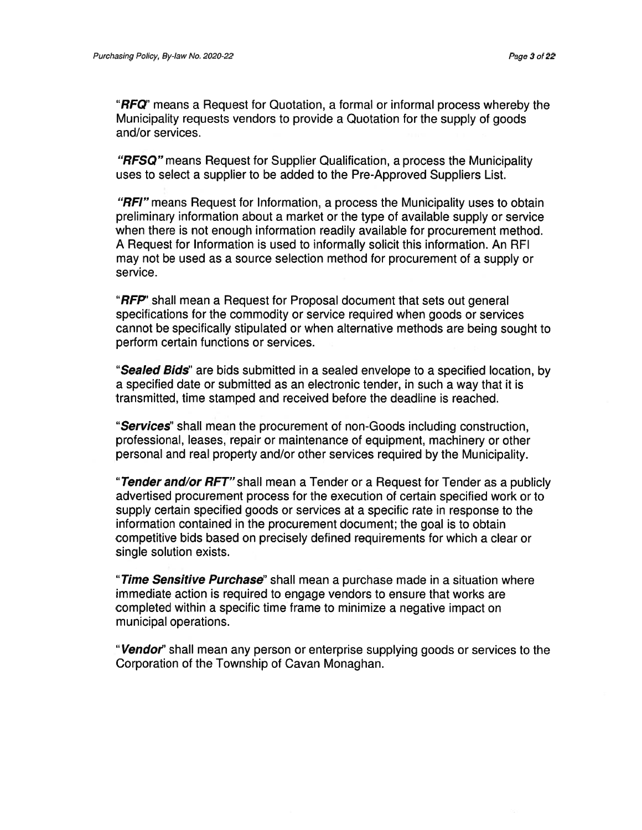"**RFQ**" means a Request for Quotation, a formal or informal process whereby the Municipality requests vendors to provide <sup>a</sup> Quotation for the supply of goods and/or services.

**"RFSQ"** means Request for Supplier Qualification, a process the Municipality uses to select <sup>a</sup> supplier to be added to the Pre-Approved Suppliers List.

"RFI" means Request for Information, a process the Municipality uses to obtain preliminary information about <sup>a</sup> market or the type of available supply or service when there is not enough information readily available for procuremen<sup>t</sup> method. A Request for Information is used to informally solicit this information. An RFI may not be used as <sup>a</sup> source selection method for procuremen<sup>t</sup> of <sup>a</sup> supply or service.

"**RFP**" shall mean a Request for Proposal document that sets out general specifications for the commodity or service required when goods or services cannot be specifically stipulated or when alternative methods are being sought to perform certain functions or services.

"Sealed Bids" are bids submitted in a sealed envelope to a specified location, by <sup>a</sup> specified date or submitted as an electronic tender, in such <sup>a</sup> way that it is transmitted, time stamped and received before the deadline is reached.

"Services" shall mean the procurement of non-Goods including construction, professional, leases, repair or maintenance of equipment, machinery or other personal and real property and/or other services required by the Municipality.

"Tender and/or RFT" shall mean a Tender or a Request for Tender as a publicly advertised procuremen<sup>t</sup> process for the execution of certain specified work or to supply certain specified goods or services at <sup>a</sup> specific rate in response to the information contained in the procuremen<sup>t</sup> document; the goal is to obtain competitive bids based on precisely defined requirements for which <sup>a</sup> clear or single solution exists.

"Time Sensitive Purchase" shall mean a purchase made in a situation where immediate action is required to engage vendors to ensure that works are completed within <sup>a</sup> specific time frame to minimize <sup>a</sup> negative impact on municipal operations.

"Vendor" shall mean any person or enterprise supplying goods or services to the Corporation of the Township of Cavan Monaghan.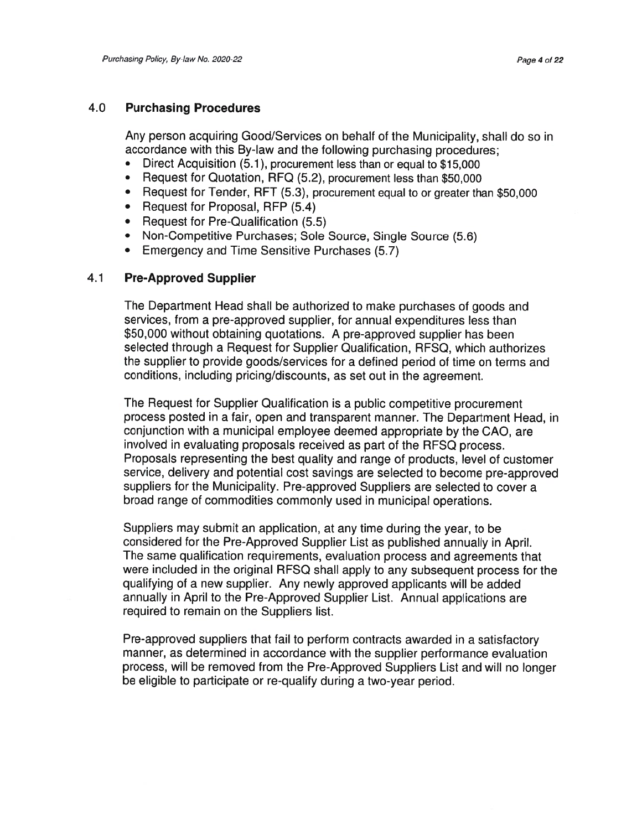#### 4.0Purchasing Procedures

Any person acquiring Good/Services on behalf of the Municipality, shall do so in accordance with this By-law and the following purchasing procedures;

- •Direct Acquisition (5.1), procuremen<sup>t</sup> less than or equal to \$15,000
- Request for Quotation, RFQ (5.2), procuremen<sup>t</sup> less than \$50,000
- Request for Tender, RFT (5.3), procuremen<sup>t</sup> equal to or greater than \$50,000
- Request for Proposal, REP (5.4)
- Request for Pre-Qualification (5.5)
- •Non-Competitive Purchases; Sole Source, Single Source (5.6)
- •Emergency and Time Sensitive Purchases (5.7)

#### 4.1Pre-Approved Supplier

The Department Head shall be authorized to make purchases of goods and services, from <sup>a</sup> pre-approved supplier, for annual expenditures less than \$50,000 without obtaining quotations. <sup>A</sup> pre-approved supplier has been selected through <sup>a</sup> Request for Supplier Qualification, RFSQ, which authorizes the supplier to provide goods/services for <sup>a</sup> defined period of time on terms and conditions, including pricing/discounts, as set out in the agreement.

The Request for Supplier Qualification is <sup>a</sup> public competitive procuremen<sup>t</sup> process posted in <sup>a</sup> fair, open and transparent manner. The Department Head, in conjunction with <sup>a</sup> municipal employee deemed appropriate by the CAD, are involved in evaluating proposals received as par<sup>t</sup> of the RFSQ process. Proposals representing the best quality and range of products, level of customer service, delivery and potential cost savings are selected to become pre-approve<sup>d</sup> suppliers for the Municipality. Pre-approved Suppliers are selected to cover <sup>a</sup> broad range of commodities commonly used in municipal operations.

Suppliers may submit an application, at any time during the year, to be considered for the Pre-Approved Supplier List as published annually in April. The same qualification requirements, evaluation process and agreements that were included in the original RFSQ shall apply to any subsequent process for the qualifying of <sup>a</sup> new supplier. Any newly approved applicants will be added annually in April to the Pre-Approved Supplier List. Annual applications are required to remain on the Suppliers list.

Pre-approved suppliers that fail to perform contracts awarded in <sup>a</sup> satisfactory manner, as determined in accordance with the supplier performance evaluation process, will be removed from the Pre-Approved Suppliers List and will no longer be eligible to participate or re-qualify during <sup>a</sup> two-year period.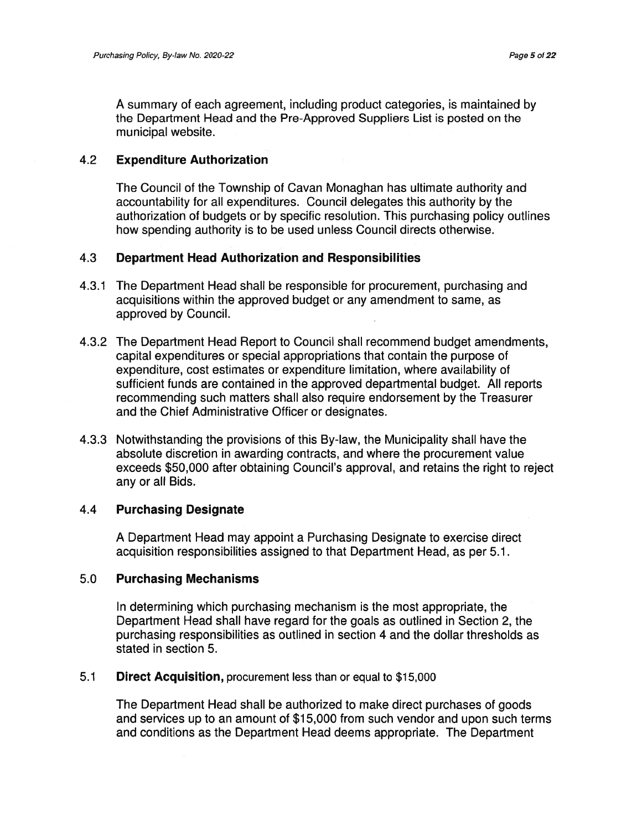A summary of each agreement, including product categories, is maintained by the Department Head and the Pre-Approved Suppliers List is posted on the municipal website.

#### 4.2 Expenditure Authorization

The Council of the Township of Cavan Monaghan has ultimate authority and accountability for all expenditures. Council delegates this authority by the authorization of budgets or by specific resolution. This purchasing policy outlines how spending authority is to be used unless Council directs otherwise.

### 4.3 Department Head Authorization and Responsibilities

- 4.3.1 The Department Head shall be responsible for procurement, purchasing and acquisitions within the approved budget or any amendment to same, as approved by Council.
- 4.3.2 The Department Head Report to Council shall recommend budget amendments, capital expenditures or special appropriations that contain the purpose of expenditure, cost estimates or expenditure limitation, where availability of sufficient funds are contained in the approved departmental budget. All reports recommending such matters shall also require endorsement by the Treasurer and the Chief Administrative Officer or designates.
- 4.3.3 Notwithstanding the provisions of this By-law, the Municipality shall have the absolute discretion in awarding contracts, and where the procuremen<sup>t</sup> value exceeds \$50,000 after obtaining Council's approval, and retains the right to reject any or all Bids.

### 4.4 Purchasing Designate

A Department Head may appoint <sup>a</sup> Purchasing Designate to exercise direct acquisition responsibilities assigned to that Department Head, as per 5.1.

### 5.0 Purchasing Mechanisms

In determining which purchasing mechanism is the most appropriate, the Department Head shall have regard for the goals as outlined in Section 2, the purchasing responsibilities as outlined in section 4 and the dollar thresholds as stated in section 5.

### 5.1 Direct Acquisition, procuremen<sup>t</sup> less than or equal to \$15,000

The Department Head shall be authorized to make direct purchases of goods and services up to an amount of \$15,000 from such vendor and upon such terms and conditions as the Department Head deems appropriate. The Department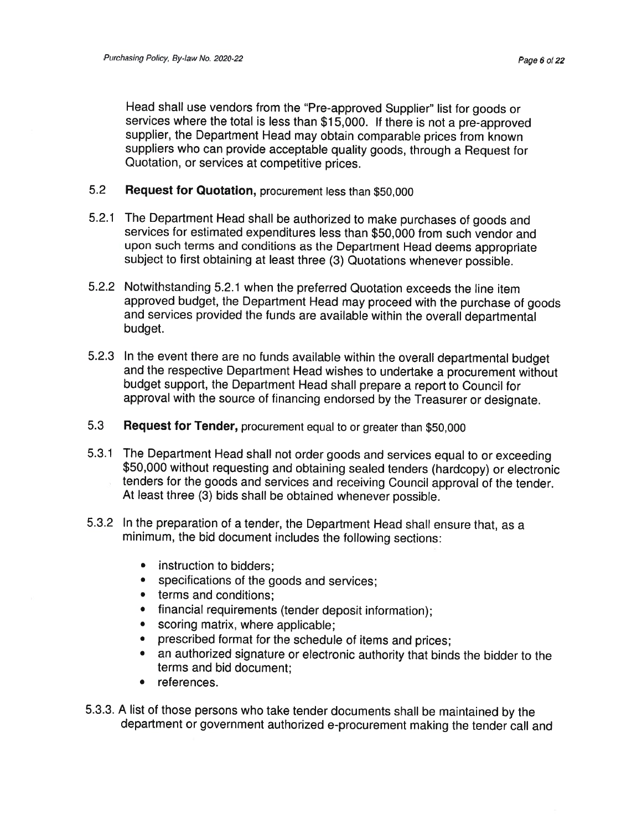Head shall use vendors from the "Pre-approved Supplier" list for goods or services where the total is less than \$1 5,000. If there is not <sup>a</sup> pre-approved supplier, the Department Head may obtain comparable prices from known suppliers who can provide acceptable quality goods, through <sup>a</sup> Request for Quotation, or services at competitive prices.

- 5.2Request for Quotation, procurement less than \$50,000
- 5.2.1 The Department Head shall be authorized to make purchases of goods and services for estimated expenditures less than \$50,000 from such vendor and upon such terms and conditions as the Department Head deems appropriate subject to first obtaining at least three (3) Quotations whenever possible.
- 5.2.2 Notwithstanding 5.2.1 when the preferred Quotation exceeds the line item approved budget, the Department Head may proceed with the purchase of goods and services provided the funds are available within the overall departmental budget.
- 5.2.3 In the event there are no funds available within the overall departmental budget and the respective Department Head wishes to undertake <sup>a</sup> procurement without budget support, the Department Head shall prepare <sup>a</sup> report to Council for approval with the source of financing endorsed by the Treasurer or designate.
- 5.3Request for Tender, procurement equal to or greater than \$50,000
- 5.3.1 The\$50,000 without requesting and obtaining sealed tenders (hardcopy) or electronic tenders for the goods and services and receiving Council approval of the tender. At least three (3) bids shall be obtained whenever possible.
- 5.3.2 In the preparation of <sup>a</sup> tender, the Department Head shall ensure that, as <sup>a</sup> minimum, the bid document includes the following sections:
	- instruction to bidders
	- specifications of the goods and services;
	- terms and conditions
	- financial requirements (tender deposit information);
	- •scoring matrix, where applicable;
	- •prescribed format for the schedule of items and prices;
	- • an authorized signature or electronic authority that binds the bidder to the terms and bid document;
	- references.
- 5.3.3. A list of those persons who take tender documents shall be maintained by the department or government authorized e-procurement making the tender call and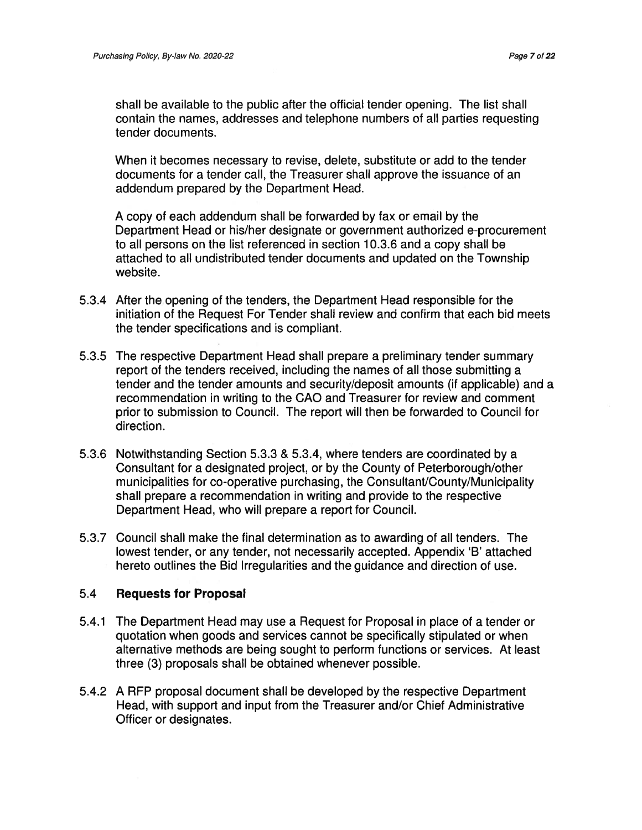shall be available to the public after the official tender opening. The list shall contain the names, addresses and telephone numbers of all parties requesting tender documents.

When it becomes necessary to revise, delete, substitute or add to the tender documents for <sup>a</sup> tender call, the Treasurer shall approve the issuance of an addendum prepared by the Department Head.

A copy of each addendum shall be forwarded by fax or email by the Department Head or his/her designate or governmen<sup>t</sup> authorized e-procuremen<sup>t</sup> to all persons on the list referenced in section 10.3.6 and <sup>a</sup> copy shall be attached to all undistributed tender documents and updated on the Township website.

- 5.3.4 After the opening of the tenders, the Department Head responsible for the initiation of the Request For Tender shall review and confirm that each bid meets the tender specifications and is compliant.
- 5.3.5 The respective Department Head shall prepare <sup>a</sup> preliminary tender summary repor<sup>t</sup> of the tenders received, including the names of all those submitting <sup>a</sup> tender and the tender amounts and security/deposit amounts (if applicable) and <sup>a</sup> recommendation in writing to the CAD and Treasurer for review and comment prior to submission to Council. The repor<sup>t</sup> will then be forwarded to Council for direction.
- 5.3.6 Notwithstanding Section 5.3.3 & 5.3.4, where tenders are coordinated by <sup>a</sup> Consultant for <sup>a</sup> designated project, or by the County of Peterborough/other municipalities for co-operative purchasing, the Consultant/County/Municipality shall prepare <sup>a</sup> recommendation in writing and provide to the respective Department Head, who will prepare <sup>a</sup> repor<sup>t</sup> for Council.
- 5.3.7 Council shall make the final determination as to awarding of all tenders. The lowest tender, or any tender, not necessarily accepted. Appendix 'B' attached hereto outlines the Bid Irregularities and the guidance and direction of use.

### 5.4 Requests for Proposal

- 5.4.1 The Department Head may use <sup>a</sup> Request for Proposal in place of <sup>a</sup> tender or quotation when goods and services cannot be specifically stipulated or when alternative methods are being sought to perform functions or services. At least three (3) proposals shall be obtained whenever possible.
- 5.4.2 A RFP proposal document shall be developed by the respective Department Head, with suppor<sup>t</sup> and input from the Treasurer and/or Chief Administrative Officer or designates.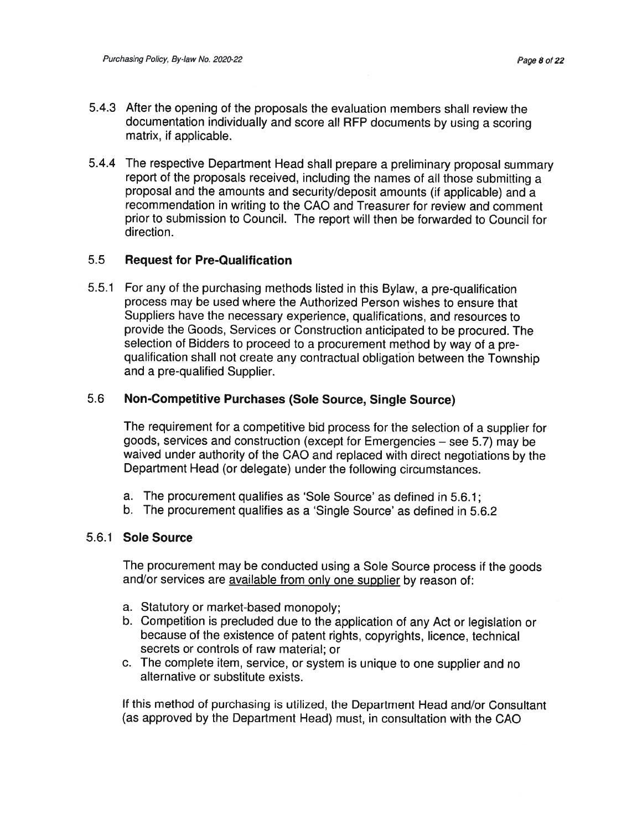- 5.4.3 After the opening of the proposals the evaluation members shall review the documentation individually and score all RFP documents by using <sup>a</sup> scoring matrix, if applicable.
- 5.4.4 The respective Department Head shall prepare <sup>a</sup> preliminary proposa<sup>l</sup> summary repor<sup>t</sup> of the proposals received, including the names of all those submitting <sup>a</sup> proposa<sup>l</sup> and the amounts and security/deposit amounts (if applicable) and <sup>a</sup> recommendation in writing to the GAO and Treasurer for review and comment prior to submission to Council. The repor<sup>t</sup> will then be forwarded to Council for direction.

#### 5.5Request for Pre-Qualification

5.5.1 For any of the purchasing methods listed in this Bylaw, <sup>a</sup> pre-qualification process may be used where the Authorized Person wishes to ensure that Suppliers have the necessary experience, qualifications, and resources to provide the Goods, Services or Construction anticipated to be procured. The selection of Bidders to proceed to <sup>a</sup> procuremen<sup>t</sup> method by way of <sup>a</sup> pre qualification shall not create any contractual obligatioh between the Township and a pre-qualified Supplier.

#### 5.6Non-Competitive Purchases (Sole Source, Single Source)

The requirement for <sup>a</sup> competitive bid process for the selection of <sup>a</sup> supplier for goods, services and construction (except for Emergencies — see 5.7) may be waived under authority of the CAO and replaced with direct negotiations by the Department Head (or delegate) under the following circumstances.

- a. The procuremen<sup>t</sup> qualifies as 'Sole Source' as defined in 5.6.1;
- b. The procuremen<sup>t</sup> qualifies as <sup>a</sup> 'Single Source' as defined in 5.6.2

#### 5.6.1 Sole Source

The procuremen<sup>t</sup> may be conducted using <sup>a</sup> Sole Source process if the goods and/or services are <u>available from only one supplier</u> by reason of

- a. Statutory or market-based monopoly;
- b. Competition is precluded due to the application of any Act or legislation or because of the existence of patent rights, copyrights, licence, technica secrets or controls of raw material; or
- c. The complete item, service, or system is unique to one supplier and no alternative or substitute exists.

If this method of purchasing is utilized, the Department Head and/or Consultant (as approved by the Department Head) must, in consultation with the GAO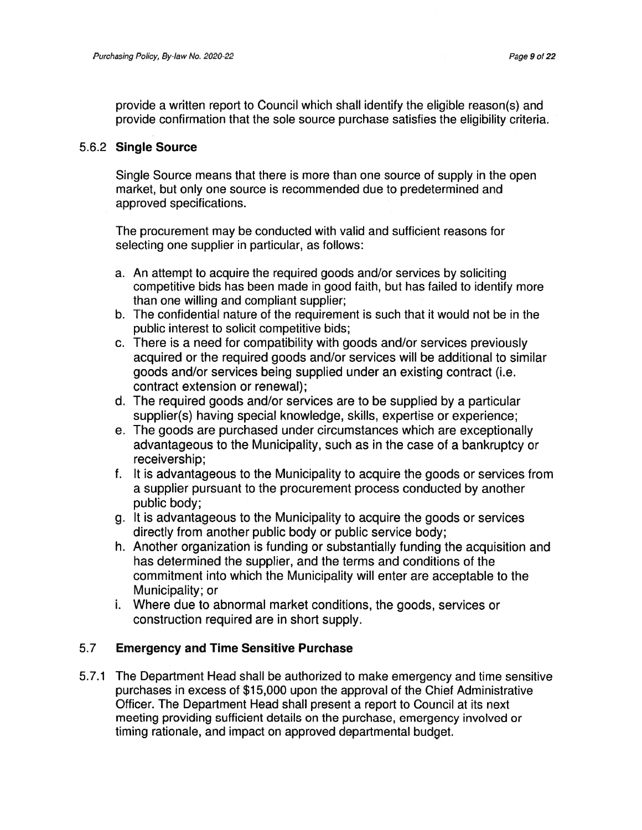provide <sup>a</sup> written repor<sup>t</sup> to Council which shall identify the eligible reason(s) and provide confirmation that the sole source purchase satisfies the eligibility criteria.

### 5.6.2 Single Source

Single Source means that there is more than one source of supply in the open market, but only one source is recommended due to predetermined and approved specifications.

The procuremen<sup>t</sup> may be conducted with valid and sufficient reasons for selecting one supplier in particular, as follows:

- a. An attempt to acquire the required goods and/or services by soliciting competitive bids has been made in good faith, but has failed to identify more than one willing and compliant supplier;
- b. The confidential nature of the requirement is such that it would not be in the public interest to solicit competitive bids;
- c. There is <sup>a</sup> need for compatibility with goods and/or services previously acquired or the required goods and/or services will be additional to similar goods and/or services being supplied under an existing contract (i.e. contract extension or renewal);
- d. The required goods and/or services are to be supplied by <sup>a</sup> particular supplier(s) having special knowledge, skills, expertise or experience;
- e. The goods are purchased under circumstances which are exceptionally advantageous to the Municipality, such as in the case of <sup>a</sup> bankruptcy or receivership;
- f. It is advantageous to the Municipality to acquire the goods or services from <sup>a</sup> supplier pursuan<sup>t</sup> to the procuremen<sup>t</sup> process conducted by another public body;
- g. It is advantageous to the Municipality to acquire the goods or services directly from another public body or public service body;
- h. Another organization is funding or substantially funding the acquisition and has determined the supplier, and the terms and conditions of the commitment into which the Municipality will enter are acceptable to the Municipality; or
- i. Where due to abnormal market conditions, the goods, services or construction required are in short supply.

### 5.7 Emergency and Time Sensitive Purchase

5.7.1 The Department Head shall be authorized to make emergency and time sensitive purchases in excess of \$15,000 upon the approval of the Chief Administrative Officer. The Department Head shall presen<sup>t</sup> <sup>a</sup> repor<sup>t</sup> to Council at its next meeting providing sufficient details on the purchase, emergency involved or timing rationale, and impact on approved departmental budget.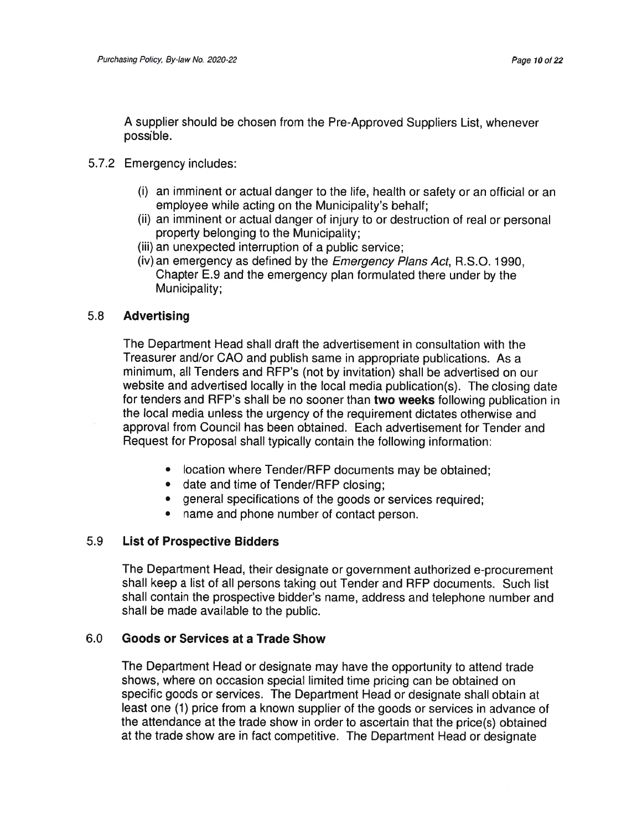A supplier should be chosen from the Pre-Approved Suppliers List, whenever possible.

- 5.7.2 Emergency includes:
	- (i) an imminent or actual danger to the life, health or safety or an official or an employee while acting on the Municipality's behalf;
	- (ii) an imminent or actual danger of injury to or destruction of real or persona<sup>l</sup> property belonging to the Municipality;
	- (iii) an unexpected interruption of <sup>a</sup> public service;
	- (iv) an emergency as defined by the Emergency Plans Act, R.S.O. <sup>1</sup> 990, Chapter E.9 and the emergency <sup>p</sup>lan formulated there under by the Municipality;

#### 5.8Advertising

The Department Head shall draft the advertisement in consultation with the Treasurer and/or GAO and publish same in appropriate publications. As <sup>a</sup> minimum, all Tenders and RFP's (not by invitation) shall be advertised on our website and advertised locally in the local media publication(s). The closing date for tenders and RFP's shall be no sooner than two weeks following publication ir the local media unless the urgency of the requirement dictates otherwise and approval from Council has been obtained. Each advertisement for Tender and Request for Proposal shall typically contain the following information:

- location where Tender/RFP documents may be obtained
- date and time of Tender/RFP closing
- general specifications of the goods or services required;
- name and phone number of contact person.

#### 5.9List of Prospective Bidders

The Department Head, their designate or governmen<sup>t</sup> authorized e-procuremen<sup>t</sup> shall keep <sup>a</sup> list of all persons taking out Tender and RFP documents. Such list shall contain the prospective bidder's name, address and telephone number and shall be made available to the public.

#### 6.0Goods or Services at <sup>a</sup> Trade Show

The Department Head or designate may have the opportunity to attend trade shows, where on occasion special limited time pricing can be obtained on specific goods or services. The Department Head or designate shall obtain at least one (1) price from <sup>a</sup> known supplier of the goods or services in advance of the attendance at the trade show in order to ascertain that the price(s) obtained at the trade show are in fact competitive. The Department Head or designate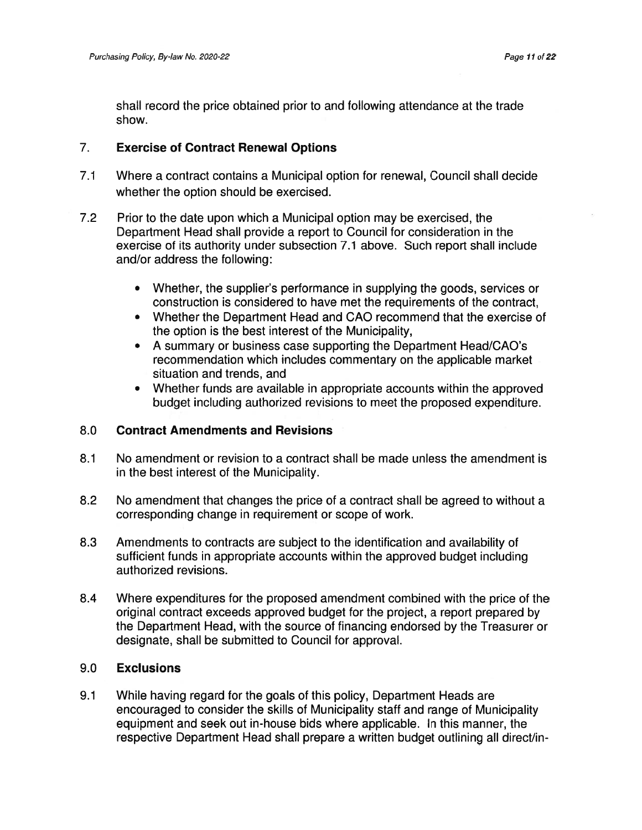shall record the price obtained prior to and following attendance at the trade show.

### 7. Exercise of Contract Renewal Options

- 7.1 Where <sup>a</sup> contract contains <sup>a</sup> Municipal option for renewal, Council shall decide whether the option should be exercised.
- 7.2 Prior to the date upon which <sup>a</sup> Municipal option may be exercised, the Department Head shall provide <sup>a</sup> repor<sup>t</sup> to Council for consideration in the exercise of its authority under subsection 7.1 above. Such repor<sup>t</sup> shall include and/or address the following:
	- Whether, the supplier's performance in supplying the goods, services or construction is considered to have met the requirements of the contract,
	- Whether the Department Head and CAO recommend that the exercise of the option is the best interest of the Municipality,
	- • A summary or business case supporting the Department Head/CAO's recommendation which includes commentary on the applicable market situation and trends, and
	- $\bullet$  Whether funds are available in appropriate accounts within the approved budget including authorized revisions to meet the proposed expenditure.

### 8.0 Contract Amendments and Revisions

- 8.1 No amendment or revision to <sup>a</sup> contract shall be made unless the amendment is in the best interest of the Municipality.
- 8.2 No amendment that changes the price of <sup>a</sup> contract shall be agreed to without <sup>a</sup> corresponding change in requirement or scope of work.
- 8.3 Amendments to contracts are subject to the identification and availability of sufficient funds in appropriate accounts within the approved budget including authorized revisions.
- 8.4 Where expenditures for the proposed amendment combined with the price of the original contract exceeds approved budget for the project, <sup>a</sup> repor<sup>t</sup> prepared by the Department Head, with the source of financing endorsed by the Treasurer or designate, shall be submitted to Council for approval.

### 9.0 Exclusions

9.1 While having regard for the goals of this policy, Department Heads are encouraged to consider the skills of Municipality staff and range of Municipality equipment and seek out in-house bids where applicable. In this manner, the respective Department Head shall prepare <sup>a</sup> written budget outlining all direct/in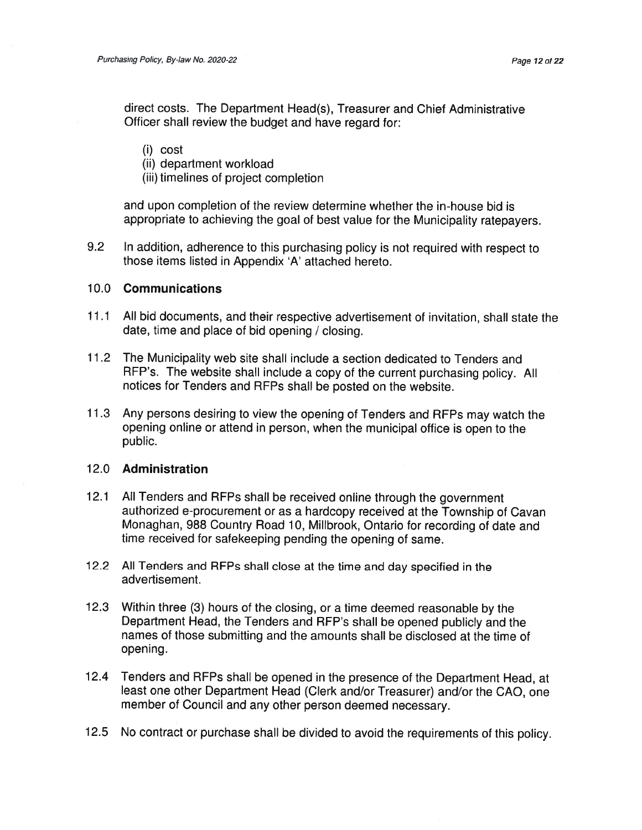direct costs. The Department Head(s), Treasurer and Chief Administrative Officer shall review the budget and have regard for:

#### (i) cost

- (ii) department workload
- (iii) timelines of project completion

and upon completion of the review determine whether the in-house bid is appropriate to achieving the goa<sup>l</sup> of best value for the Municipality ratepayers.

9.2 InIn addition, adherence to this purchasing policy is not required with respect to those items listed in Appendix 'A' attached hereto.

#### 10.0Communications

- 11 .1 All bid documents, and their respective advertisement of invitation, shall state the date, time and place of bid opening / closing.
- 11.2 The Municipality web site shall include a section dedicated to Tenders and RFP's. The website shall include <sup>a</sup> copy of the current purchasing policy. All notices for Tenders and RFPs shall be posted on the website.
- 11 .3 Any persons desiring to view the opening of Tenders and RFPs may watch the opening online or attend in person, when the municipal office is open to the public.

#### 12.0 Administration

- 12.1 All Tenders and REPs shall be received online through the governmen<sup>t</sup> authorized e-procuremen<sup>t</sup> or as <sup>a</sup> hardcopy received at the Township of Cavan Monaghan, 988 Country Road 10, Millbrook, Ontario for recording of date and time received for safekeeping pending the opening of same
- 12.2 All Tenders and RFPs shall close at the time and day specified in the advertisement.
- 12.3 Within three (3) hours of the closing, or <sup>a</sup> time deemed reasonable by the Department Head, the Tenders and RFP's shall be opene<sup>d</sup> publicly and the names of those submitting and the amounts shall be disclosed at the time of opening.
- 12.4 Tenders and RFPs shall be opened in the presence of the Department Head, at least one other Department Head (Clerk and/or Treasurer) and/or the CAO, one member of Council and any other person deemed necessary.
- 12.5 No contract or purchase shall be divided to avoid the requirements of this policy.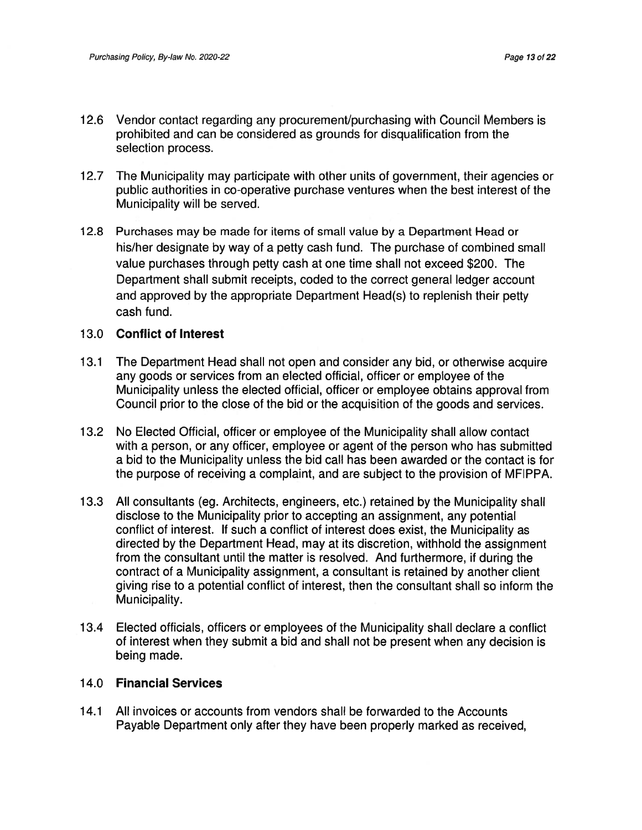- 1 2.6 Vendor contact regarding any procurement/purchasing with Council Members is prohibited and can be considered as grounds for disqualification from the selection process.
- 12.7 The Municipality may participate with other units of government, their agencies or public authorities in co-operative purchase ventures when the best interest of the Municipality will be served.
- 1 2.8 Purchases may be made for items of small value by <sup>a</sup> Department Head or his/her designate by way of <sup>a</sup> petty cash fund. The purchase of combined small value purchases through petty cash at one time shall not exceed \$200. The Department shall submit receipts, coded to the correct general ledger account and approved by the appropriate Department Head(s) to replenish their petty cash fund.

#### 13.0 Conflict of Interest

- 13.1 The Department Head shall not open and consider any bid, or otherwise acquire any goods or services from an elected official, officer or employee of the Municipality unless the elected official, officer or employee obtains approval from Council prior to the close of the bid or the acquisition of the goods and services.
- 13.2 No Elected Official, officer or employee of the Municipality shall allow contact with <sup>a</sup> person, or any officer, employee or agen<sup>t</sup> of the person who has submitted <sup>a</sup> bid to the Municipality unless the bid call has been awarded or the contact is for the purpose of receiving <sup>a</sup> complaint, and are subject to the provision of MFIPPA.
- 13.3 All consultants (eg. Architects, engineers, etc.) retained by the Municipality shall disclose to the Municipality prior to accepting an assignment, any potential conflict of interest. If such <sup>a</sup> conflict of interest does exist, the Municipality as directed by the Department Head, may at its discretion, withhold the assignment from the consultant until the matter is resolved. And furthermore, if during the contract of <sup>a</sup> Municipality assignment, <sup>a</sup> consultant is retained by another client giving rise to <sup>a</sup> potential conflict of interest, then the consultant shall so inform the Municipality.
- 1 3.4 Elected officials, officers or employees of the Municipality shall declare <sup>a</sup> conflict of interest when they submit <sup>a</sup> bid and shall not be presen<sup>t</sup> when any decision is being made.

#### 14.0 Financial Services

14.1 All invoices or accounts from vendors shall be forwarded to the Accounts Payable Department only after they have been properly marked as received,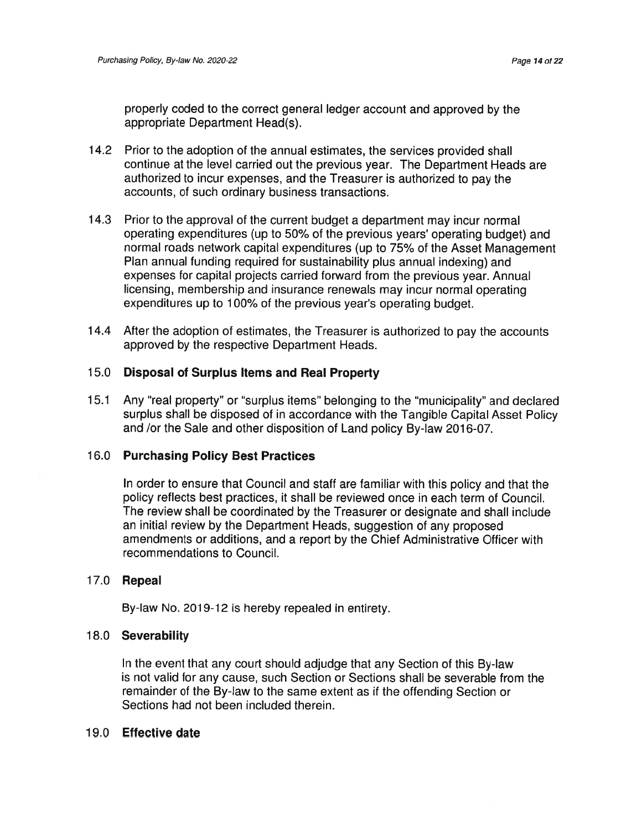properly coded to the correct genera<sup>l</sup> ledger account and approved by the appropriate Department Head(s).

- 1 4.2 Prior to the adoption of the annual estimates, the services provided shall continue at the level carried out the previous year. The Department Heads are authorized to incur expenses, and the Treasurer is authorized to pay the accounts, of such ordinary business transactions.
- 1 4.3 Prior to the approval of the current budget <sup>a</sup> department may incur normal operating expenditures (up to 50% of the previous years' operating budget) and normal roads network capital expenditures (up to 75% of the Asset Management Plan annual funding required for sustainability plus annual indexing) and expenses for capital projects carried forward from the previous year. Annual licensing, membership and insurance renewals may incur normal operating expenditures up to 100% of the previous year's operating budget.
- 1 4.4 After the adoption of estimates, the Treasurer is authorized to pay the accounts approved by the respective Department Heads.

### 15.0 Disposal of Surplus Items and Real Property

15.1 Any "real property" or "surplus items" belonging to the "municipality" and declared surplus shall be disposed of in accordance with the Tangible Capital Asset Policy and /or the Sale and other disposition of Land policy By-law 2016-07

#### 16.0 Purchasing Policy Best Practices

In order to ensure that Council and staff are familiar with this policy and that the policy reflects best practices, it shall be reviewed once in each term of Council. The review shall be coordinated by the Treasurer or designate and shall include an initial review by the Department Heads, suggestion of any proposed amendments or additions, and <sup>a</sup> repor<sup>t</sup> by the Chief Administrative Officer with recommendations to Council.

#### 17.0 **Repea**

By-law No. 2019-12 is hereby repealed in entirety.

#### 18.0 Severability

In the event that any court should adjudge that any Section of this By-law is not valid for any cause, such Section or Sections shall be severable from the remainder of the By-law to the same extent as if the offending Section or Sections had not been included therein.

#### 19.0 Effective date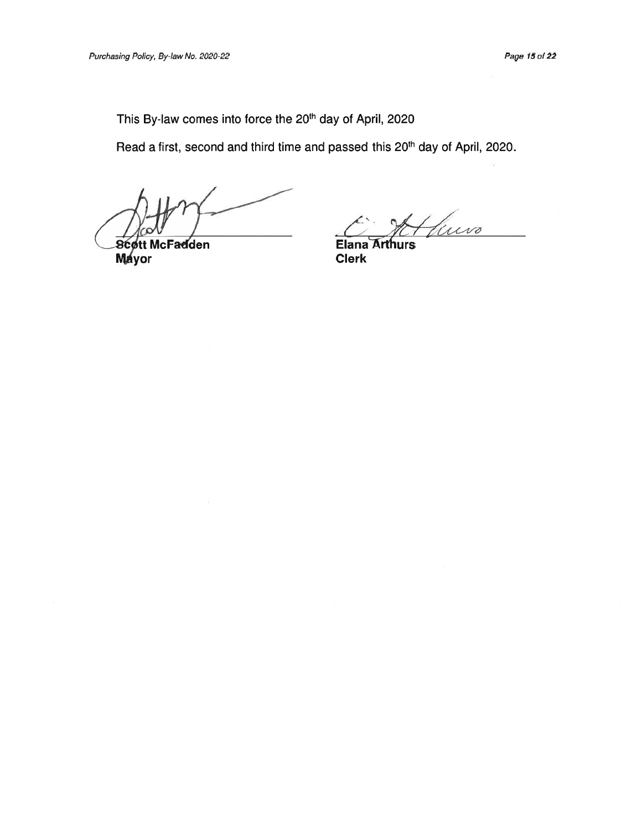This By-law comes into force the 20<sup>th</sup> day of April, 2020

Read a first, second and third time and passed this 20<sup>th</sup> day of April, 2020.

**Scott McFadden** Mayor

tuevo

**Elana Arthurs** Clerk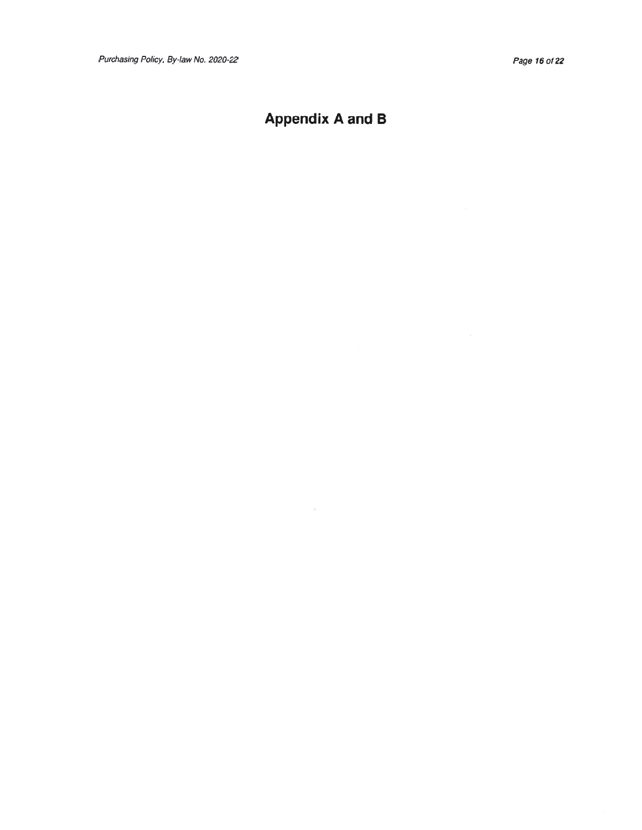# Appendix A and B

 $\mathcal{C}$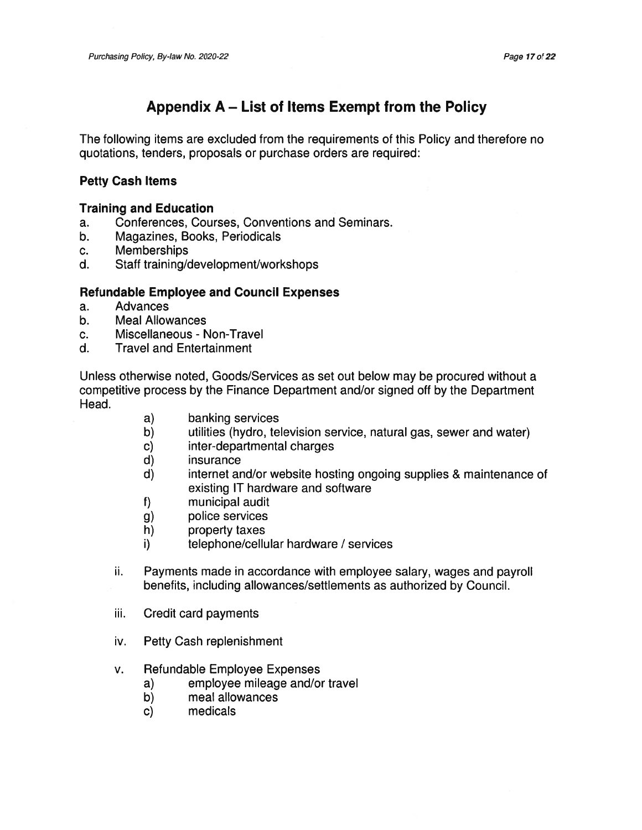## Appendix A — List of Items Exempt from the Policy

The following items are excluded from the requirements of this Policy and therefore no quotations, tenders, proposals or purchase orders are required:

### Petty Cash Items

#### Training and Education

- a. Conferences, Courses, Conventions and Seminars.
- b. Magazines, Books, Periodicals
- c. Memberships
- d. Staff training/development/workshops

### Refundable Employee and Council Expenses

- a. Advances
- b. Meal Allowances
- c. Miscellaneous Non-Travel
- d. Travel and Entertainment

Unless otherwise noted, Goods/Services as set out below may be procured without <sup>a</sup> competitive process by the Finance Department and/or signed off by the Department Head.

- a) banking services
- b) utilities (hydro, television service, natural gas, sewer and water)
- c) inter-departmental charges
- d) insurance
- d) internet and/or website hosting ongoing supplies & maintenance of existing IT hardware and software
- f) municipal audit
- g) police services
- h) property taxes
- i) telephone/cellular hardware / services
- ii. Payments made in accordance with employee salary, wages and payroll benefits, including allowances/settlements as authorized by Council.
- iii. Credit card payments
- iv. Petty Cash replenishment
- v. Refundable Employee Expenses
	- a) employee mileage and/or travel
	- b) meal allowances
	- c) medicals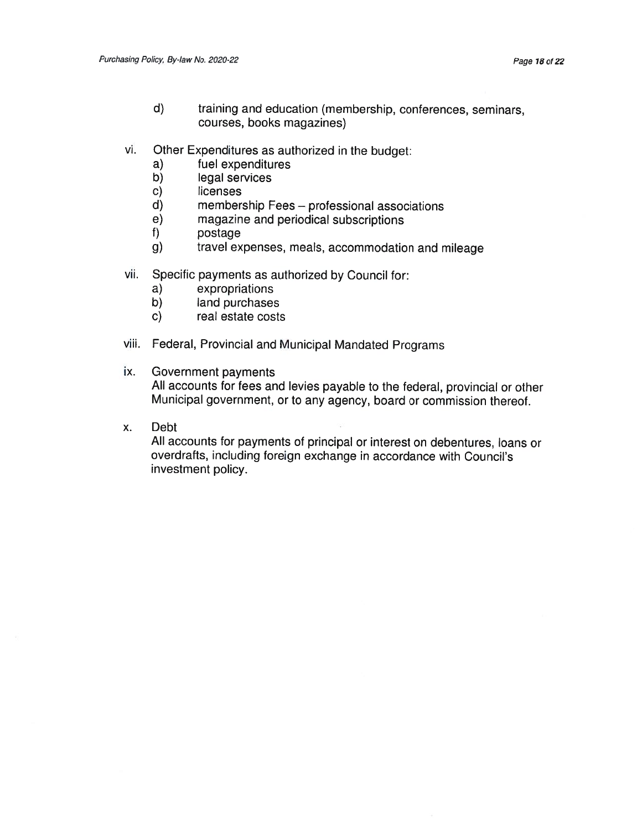- d) training and education (membership, conferences, seminars, courses, books magazines)
- vi.i. Other Expenditures as authorized in the budget
	- a) fuel expenditures
	- b) legal services
	- C) licenses
	- d) membership Fees professional associations
	- e) magazine and periodical subscriptions
	- postage
	- g) travel expenses, meals, accommodation and mileage
- vii. Specific payments as authorized by Council for:
	- a) expropriations
	- b) land purchases
	- c) real estate costs
- viii. Federal, Provincial and Municipal Mandated Programs
- ix.Government payments

All accounts for fees and levies payable to the federal, provincial or other Municipal government, or to any agency, board or commission thereof.

x.: Deb

> All accounts for payments of principal or interest on debentures, loans or overdrafts, including foreign exchange in accordance with Council's investment policy.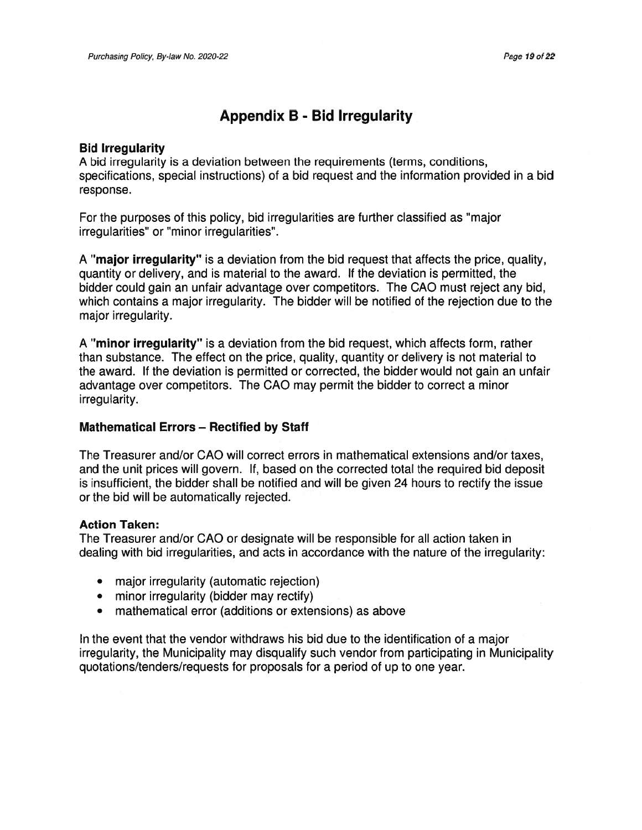# Appendix B - Bid Irregularity

#### Bid Irregularity

A bid irregularity is <sup>a</sup> deviation between the requirements (terms, conditions, specifications, special instructions) of <sup>a</sup> bid reques<sup>t</sup> and the information provided in <sup>a</sup> bid response.

For the purposes of this policy, bid irregularities are further classified as "major irregularities" or "minor irregularities".

A "major irregularity" is <sup>a</sup> deviation from the bid reques<sup>t</sup> that affects the price, quality, quantity or delivery, and is material to the award. If the deviation is permitted, the bidder could gain an unfair advantage over competitors. The CAO must reject any bid, which contains <sup>a</sup> major irregularity. The bidder will be notified of the rejection due to the major irregularity.

A "minor irregularity" is <sup>a</sup> deviation from the bid request, which affects form, rather than substance. The effect on the price, quality, quantity or delivery is not material to the award. If the deviation is permitted or corrected, the bidder would not gain an unfair advantage over competitors. The CAO may permit the bidder to correct <sup>a</sup> minor irregularity.

### Mathematical Errors — Rectified by Staff

The Treasurer and/or CAO will correct errors in mathematical extensions and/or taxes, and the unit prices will govern. If, based on the corrected total the required bid deposit is insufficient, the bidder shall be notified and will be given 24 hours to rectify the issue or the bid will be automatically rejected.

### Action Taken:

The Treasurer and/or CAO or designate will be responsible for all action taken in dealing with bid irregularities, and acts in accordance with the nature of the irregularity:

- major irregularity (automatic rejection)
- minor irregularity (bidder may rectify)
- mathematical error (additions or extensions) as above

In the event that the vendor withdraws his bid due to the identification of <sup>a</sup> major irregularity, the Municipality may disqualify such vendor from participating in Municipality quotations/tenders/requests for proposals for <sup>a</sup> period of up to one year.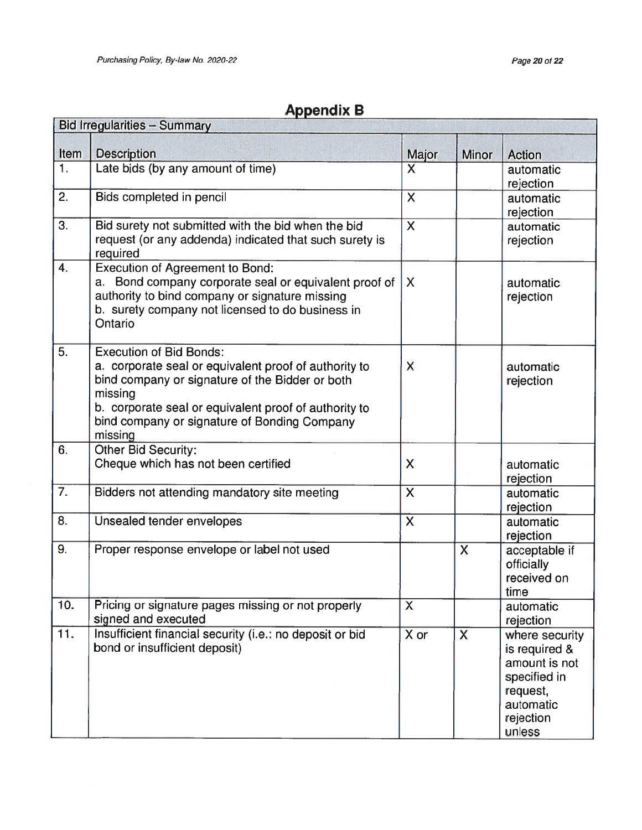| <b>Appendix B</b> |  |
|-------------------|--|
|-------------------|--|

| <b>Bid Irregularities - Summary</b> |                                                                                                                                                                                                                                                                           |                           |       |                                                                                                                  |
|-------------------------------------|---------------------------------------------------------------------------------------------------------------------------------------------------------------------------------------------------------------------------------------------------------------------------|---------------------------|-------|------------------------------------------------------------------------------------------------------------------|
| Item                                | <b>Description</b>                                                                                                                                                                                                                                                        | Major                     | Minor | <b>Action</b>                                                                                                    |
| 1.                                  | Late bids (by any amount of time)                                                                                                                                                                                                                                         | $\mathsf{X}$              |       | automatic<br>rejection                                                                                           |
| 2.                                  | Bids completed in pencil                                                                                                                                                                                                                                                  | $\overline{\mathsf{X}}$   |       | automatic<br>rejection                                                                                           |
| 3.                                  | Bid surety not submitted with the bid when the bid<br>request (or any addenda) indicated that such surety is<br>required                                                                                                                                                  | $\mathsf{X}$              |       | automatic<br>rejection                                                                                           |
| $\overline{4}$ .                    | <b>Execution of Agreement to Bond:</b><br>Bond company corporate seal or equivalent proof of<br>a.<br>authority to bind company or signature missing<br>b. surety company not licensed to do business in<br>Ontario                                                       | $\sf X$                   |       | automatic<br>rejection                                                                                           |
| 5.                                  | <b>Execution of Bid Bonds:</b><br>a. corporate seal or equivalent proof of authority to<br>bind company or signature of the Bidder or both<br>missing<br>b. corporate seal or equivalent proof of authority to<br>bind company or signature of Bonding Company<br>missing | X                         |       | automatic<br>rejection                                                                                           |
| 6.                                  | Other Bid Security:<br>Cheque which has not been certified                                                                                                                                                                                                                | $\boldsymbol{\mathsf{X}}$ |       | automatic<br>rejection                                                                                           |
| 7.                                  | Bidders not attending mandatory site meeting                                                                                                                                                                                                                              | $\mathsf{X}$              |       | automatic<br>rejection                                                                                           |
| 8.                                  | Unsealed tender envelopes                                                                                                                                                                                                                                                 | $\overline{\mathsf{X}}$   |       | automatic<br>rejection                                                                                           |
| 9.                                  | Proper response envelope or label not used                                                                                                                                                                                                                                |                           | X     | acceptable if<br>officially<br>received on<br>time                                                               |
| 10.                                 | Pricing or signature pages missing or not properly<br>signed and executed                                                                                                                                                                                                 | $\mathsf{X}$              |       | automatic<br>rejection                                                                                           |
| 11.                                 | Insufficient financial security (i.e.: no deposit or bid<br>bond or insufficient deposit)                                                                                                                                                                                 | X or                      | X     | where security<br>is required &<br>amount is not<br>specified in<br>request,<br>automatic<br>rejection<br>unless |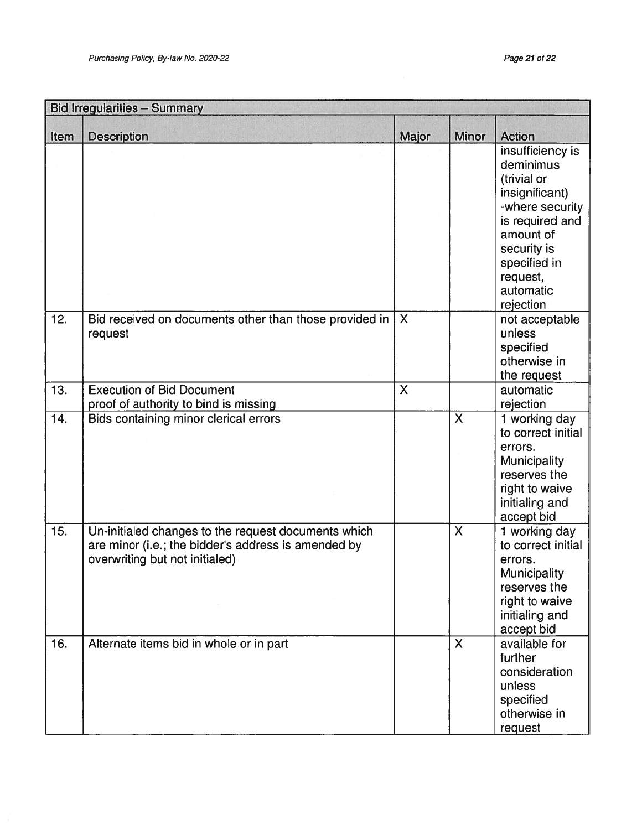| <b>Bid Irregularities - Summary</b> |                                                                                                                                              |                           |                           |                                                                                                                                                                                        |
|-------------------------------------|----------------------------------------------------------------------------------------------------------------------------------------------|---------------------------|---------------------------|----------------------------------------------------------------------------------------------------------------------------------------------------------------------------------------|
| Item                                | <b>Description</b>                                                                                                                           | Major                     | Minor                     | <b>Action</b>                                                                                                                                                                          |
|                                     |                                                                                                                                              |                           |                           | insufficiency is<br>deminimus<br>(trivial or<br>insignificant)<br>-where security<br>is required and<br>amount of<br>security is<br>specified in<br>request,<br>automatic<br>rejection |
| 12.                                 | Bid received on documents other than those provided in<br>request                                                                            | $\boldsymbol{\mathsf{X}}$ |                           | not acceptable<br>unless<br>specified<br>otherwise in<br>the request                                                                                                                   |
| 13.                                 | <b>Execution of Bid Document</b><br>proof of authority to bind is missing                                                                    | $\boldsymbol{\mathsf{X}}$ |                           | automatic<br>rejection                                                                                                                                                                 |
| 14.                                 | Bids containing minor clerical errors                                                                                                        |                           | $\mathsf{X}$              | 1 working day<br>to correct initial<br>errors.<br><b>Municipality</b><br>reserves the<br>right to waive<br>initialing and<br>accept bid                                                |
| 15.                                 | Un-initialed changes to the request documents which<br>are minor (i.e.; the bidder's address is amended by<br>overwriting but not initialed) |                           | $\mathsf{X}$              | 1 working day<br>to correct initial<br>errors.<br>Municipality<br>reserves the<br>right to waive<br>initialing and<br>accept bid                                                       |
| 16.                                 | Alternate items bid in whole or in part                                                                                                      |                           | $\boldsymbol{\mathsf{X}}$ | available for<br>further<br>consideration<br>unless<br>specified<br>otherwise in<br>request                                                                                            |